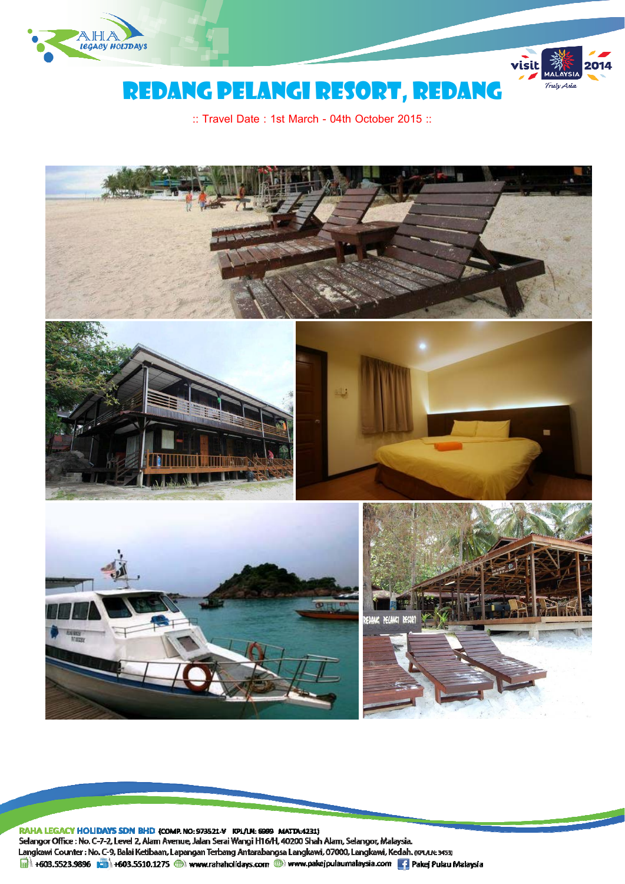



# REDANG pelangi RESORT, REDANG

:: Travel Date : 1st March - 04th October 2015 ::



RAHA LEGACY HOLIDAYS SDN BHD (COMP. NO: 973521-V KPL/LN: 6999 MATTA:4231) Selangor Office : No. C-7-2, Level 2, Alam Avenue, Jalan Serai Wangi H16/H, 40200 Shah Alam, Selangor, Malaysia. Langkawi Counter: No. C-9, Balai Ketibaan, Lapangan Terbang Antarabangsa Langkawi, 07000, Langkawi, Kedah. (KPLAN: 3453) +603.5523.9896 +603.5510.1275 + www.rahaholidays.com + www.pakejpulaumalaysia.com + Pakej Pulau Malaysia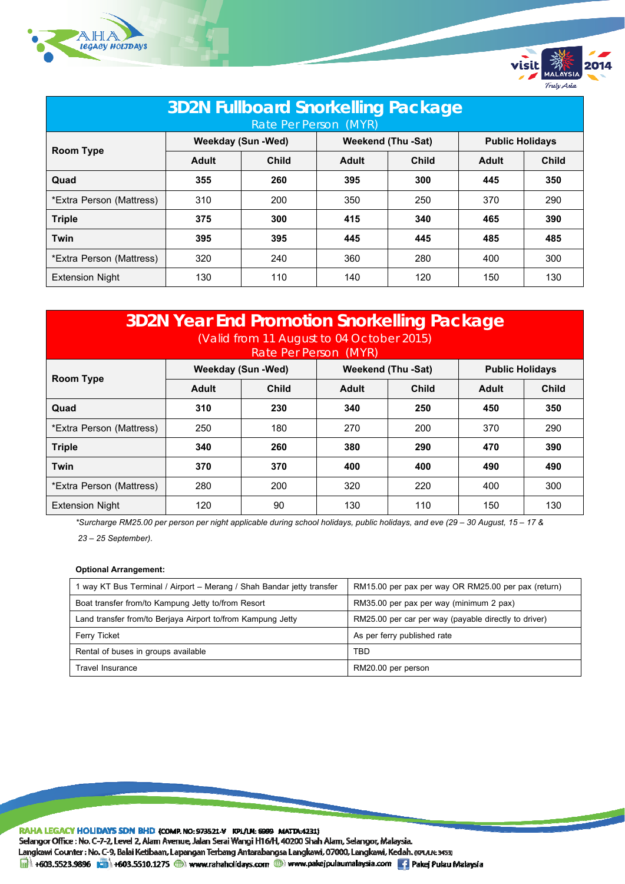



| <b>3D2N Fullboard Snorkelling Package</b><br>Rate Per Person (MYR) |                           |              |                           |              |                        |              |  |  |
|--------------------------------------------------------------------|---------------------------|--------------|---------------------------|--------------|------------------------|--------------|--|--|
| <b>Room Type</b>                                                   | <b>Weekday (Sun -Wed)</b> |              | <b>Weekend (Thu -Sat)</b> |              | <b>Public Holidays</b> |              |  |  |
|                                                                    | Adult                     | <b>Child</b> | Adult                     | <b>Child</b> | Adult                  | <b>Child</b> |  |  |
| Quad                                                               | 355                       | 260          | 395                       | 300          | 445                    | 350          |  |  |
| *Extra Person (Mattress)                                           | 310                       | 200          | 350                       | 250          | 370                    | 290          |  |  |
| <b>Triple</b>                                                      | 375                       | 300          | 415                       | 340          | 465                    | 390          |  |  |
| Twin                                                               | 395                       | 395          | 445                       | 445          | 485                    | 485          |  |  |
| *Extra Person (Mattress)                                           | 320                       | 240          | 360                       | 280          | 400                    | 300          |  |  |
| <b>Extension Night</b>                                             | 130                       | 110          | 140                       | 120          | 150                    | 130          |  |  |

| <b>3D2N Year End Promotion Snorkelling Package</b><br>(Valid from 11 August to 04 October 2015)<br>Rate Per Person (MYR) |                           |              |                           |              |                        |              |  |  |
|--------------------------------------------------------------------------------------------------------------------------|---------------------------|--------------|---------------------------|--------------|------------------------|--------------|--|--|
| Room Type                                                                                                                | <b>Weekday (Sun -Wed)</b> |              | <b>Weekend (Thu -Sat)</b> |              | <b>Public Holidays</b> |              |  |  |
|                                                                                                                          | Adult                     | <b>Child</b> | Adult                     | <b>Child</b> | Adult                  | <b>Child</b> |  |  |
| Quad                                                                                                                     | 310                       | 230          | 340                       | 250          | 450                    | 350          |  |  |
| *Extra Person (Mattress)                                                                                                 | 250                       | 180          | 270                       | 200          | 370                    | 290          |  |  |
| <b>Triple</b>                                                                                                            | 340                       | 260          | 380                       | 290          | 470                    | 390          |  |  |
| Twin                                                                                                                     | 370                       | 370          | 400                       | 400          | 490                    | 490          |  |  |
| *Extra Person (Mattress)                                                                                                 | 280                       | 200          | 320                       | 220          | 400                    | 300          |  |  |
| <b>Extension Night</b>                                                                                                   | 120                       | 90           | 130                       | 110          | 150                    | 130          |  |  |

*\*Surcharge RM25.00 per person per night applicable during school holidays, public holidays, and eve (29 – 30 August, 15 – 17 & 23 – 25 September).* 

# **Optional Arrangement:**

| 1 way KT Bus Terminal / Airport – Merang / Shah Bandar jetty transfer | RM15.00 per pax per way OR RM25.00 per pax (return)  |  |  |
|-----------------------------------------------------------------------|------------------------------------------------------|--|--|
| Boat transfer from/to Kampung Jetty to/from Resort                    | RM35.00 per pax per way (minimum 2 pax)              |  |  |
| Land transfer from/to Berjaya Airport to/from Kampung Jetty           | RM25.00 per car per way (payable directly to driver) |  |  |
| <b>Ferry Ticket</b>                                                   | As per ferry published rate                          |  |  |
| Rental of buses in groups available                                   | <b>TBD</b>                                           |  |  |
| <b>Travel Insurance</b>                                               | RM20.00 per person                                   |  |  |

RAHA LEGACY HOLIDAYS SDN BHD (COMP. NO: 973521-V KPL/LN: 6999 MATTA:4231) Selangor Office : No. C-7-2, Level 2, Alam Avenue, Jalan Serai Wangi H16/H, 40200 Shah Alam, Selangor, Malaysia. Langkawi Counter: No. C-9, Balai Ketibaan, Lapangan Terbang Antarabangsa Langkawi, 07000, Langkawi, Kedah. (KPLAN: 3453) H603.5523.9896 3 +603.5510.1275 +603.5510.1275 +60 www.rahaholidays.com + www.pakejpulaumalaysia.com + Pakej Pulau Malaysia